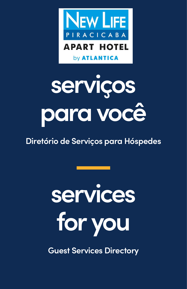

## **serviços para você**

### **Diretório de Serviços para Hóspedes**

# **services for you**

**Guest Services Directory**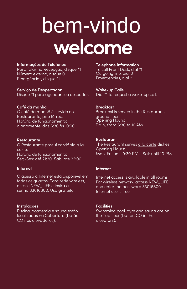### **welcome** bem-vindo

#### **Informações de Telefone s**

**Para falar na Recepção, disque \*1 Número externo, disque 0 Emergências, disque \*1**

**Serviço de Despertador Disque \*1 para agendar seu despertar.**

#### **Café da manhã**

**O café da manhã é servido n o Restaurante, piso térreo. Horário de funcionamento : diariamente , das 6:30 10:00 às**

#### **Restaurante**

**O Restaurante possui cardápio a la carte . Horário de funcionamento: Seg-Sex: até 21:30 Sáb: até 22:00**

#### **Internet**

**O acesso à Internet está disponível em todos os quartos. Para rede wireless, acesse NEW\_LIFE e insira a senha 33016800. Uso gratuito.**

#### **Instalações**

**Piscina, academia e sauna estão localizadas na Cobertura (botão CO nos elevadores).**

#### **Telephone Information**

**To call Front Desk, dial \*1 Outgoing line, dial 0 Emergencies, dial \*1**

**Wake-up Calls**

**\*1 to request a wake-up call. Dial**

#### **Breakfast**

**Breakfast is served in the Restaurant, ground floor. Opening Hours: Daily, from 6:30 to 10 AM**

#### **Restaurant**

**The Restaurant serves a la carte dishes. Opening Hours: Mon-Fri: until 9:30 PM Sat: until 10 PM**

#### **Internet**

**Internet access is available in all rooms. For wireless network, access NEW\_LIFE and enter the password 33016800. Internet use is free.**

#### **Facilities**

**Swimming pool, gym and sauna are on the Top floor (button CO in the elevators) .**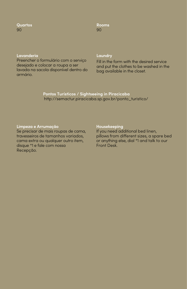**Quart os 90**

**Room s 90**

#### **Lavanderia**

**Preencher o formulário com o serviço desejado e colocar a roupa a ser lavada na sacola disponível dentro do armário.**

#### **Laundry**

**Fill in the form with the desired service and put the clothes to be washed in the bag available in the closet.**

**Pontos Turísticos / Sightseeing in Piracicaba http://semactur.piracicaba.sp.gov.br/ponto\_turistico/**

#### **Limpeza e Arrumação**

**Se precisar de mais roupas de cama, travesseiros de tamanhos variados, cama extra ou qualquer outro , itemdisque \*1 e fale com noss a Recepção .**

#### **Housekeeping**

**If you need additional bed linen, pillows from different sizes, a spare bed or anything else, dial \*1 and talk to our Front Desk .**